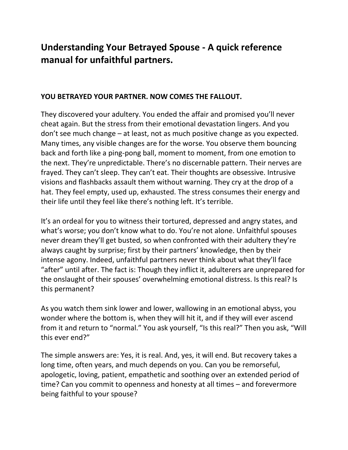# **Understanding Your Betrayed Spouse - A quick reference manual for unfaithful partners.**

#### **YOU BETRAYED YOUR PARTNER. NOW COMES THE FALLOUT.**

They discovered your adultery. You ended the affair and promised you'll never cheat again. But the stress from their emotional devastation lingers. And you don't see much change – at least, not as much positive change as you expected. Many times, any visible changes are for the worse. You observe them bouncing back and forth like a ping-pong ball, moment to moment, from one emotion to the next. They're unpredictable. There's no discernable pattern. Their nerves are frayed. They can't sleep. They can't eat. Their thoughts are obsessive. Intrusive visions and flashbacks assault them without warning. They cry at the drop of a hat. They feel empty, used up, exhausted. The stress consumes their energy and their life until they feel like there's nothing left. It's terrible.

It's an ordeal for you to witness their tortured, depressed and angry states, and what's worse; you don't know what to do. You're not alone. Unfaithful spouses never dream they'll get busted, so when confronted with their adultery they're always caught by surprise; first by their partners' knowledge, then by their intense agony. Indeed, unfaithful partners never think about what they'll face "after" until after. The fact is: Though they inflict it, adulterers are unprepared for the onslaught of their spouses' overwhelming emotional distress. Is this real? Is this permanent?

As you watch them sink lower and lower, wallowing in an emotional abyss, you wonder where the bottom is, when they will hit it, and if they will ever ascend from it and return to "normal." You ask yourself, "Is this real?" Then you ask, "Will this ever end?"

The simple answers are: Yes, it is real. And, yes, it will end. But recovery takes a long time, often years, and much depends on you. Can you be remorseful, apologetic, loving, patient, empathetic and soothing over an extended period of time? Can you commit to openness and honesty at all times – and forevermore being faithful to your spouse?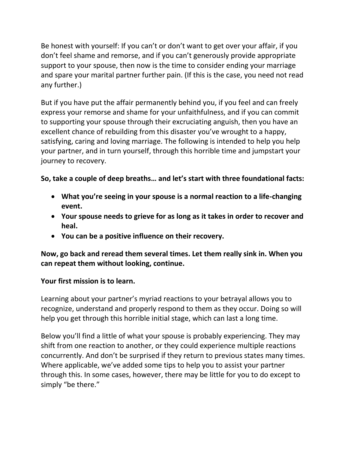Be honest with yourself: If you can't or don't want to get over your affair, if you don't feel shame and remorse, and if you can't generously provide appropriate support to your spouse, then now is the time to consider ending your marriage and spare your marital partner further pain. (If this is the case, you need not read any further.)

But if you have put the affair permanently behind you, if you feel and can freely express your remorse and shame for your unfaithfulness, and if you can commit to supporting your spouse through their excruciating anguish, then you have an excellent chance of rebuilding from this disaster you've wrought to a happy, satisfying, caring and loving marriage. The following is intended to help you help your partner, and in turn yourself, through this horrible time and jumpstart your journey to recovery.

# **So, take a couple of deep breaths… and let's start with three foundational facts:**

- **What you're seeing in your spouse is a normal reaction to a life-changing event.**
- **Your spouse needs to grieve for as long as it takes in order to recover and heal.**
- **You can be a positive influence on their recovery.**

**Now, go back and reread them several times. Let them really sink in. When you can repeat them without looking, continue.** 

### **Your first mission is to learn.**

Learning about your partner's myriad reactions to your betrayal allows you to recognize, understand and properly respond to them as they occur. Doing so will help you get through this horrible initial stage, which can last a long time.

Below you'll find a little of what your spouse is probably experiencing. They may shift from one reaction to another, or they could experience multiple reactions concurrently. And don't be surprised if they return to previous states many times. Where applicable, we've added some tips to help you to assist your partner through this. In some cases, however, there may be little for you to do except to simply "be there."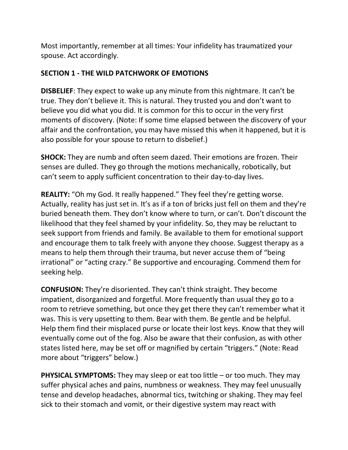Most importantly, remember at all times: Your infidelity has traumatized your spouse. Act accordingly.

#### **SECTION 1 - THE WILD PATCHWORK OF EMOTIONS**

**DISBELIEF**: They expect to wake up any minute from this nightmare. It can't be true. They don't believe it. This is natural. They trusted you and don't want to believe you did what you did. It is common for this to occur in the very first moments of discovery. (Note: If some time elapsed between the discovery of your affair and the confrontation, you may have missed this when it happened, but it is also possible for your spouse to return to disbelief.)

**SHOCK:** They are numb and often seem dazed. Their emotions are frozen. Their senses are dulled. They go through the motions mechanically, robotically, but can't seem to apply sufficient concentration to their day-to-day lives.

**REALITY:** "Oh my God. It really happened." They feel they're getting worse. Actually, reality has just set in. It's as if a ton of bricks just fell on them and they're buried beneath them. They don't know where to turn, or can't. Don't discount the likelihood that they feel shamed by your infidelity. So, they may be reluctant to seek support from friends and family. Be available to them for emotional support and encourage them to talk freely with anyone they choose. Suggest therapy as a means to help them through their trauma, but never accuse them of "being irrational" or "acting crazy." Be supportive and encouraging. Commend them for seeking help.

**CONFUSION:** They're disoriented. They can't think straight. They become impatient, disorganized and forgetful. More frequently than usual they go to a room to retrieve something, but once they get there they can't remember what it was. This is very upsetting to them. Bear with them. Be gentle and be helpful. Help them find their misplaced purse or locate their lost keys. Know that they will eventually come out of the fog. Also be aware that their confusion, as with other states listed here, may be set off or magnified by certain "triggers." (Note: Read more about "triggers" below.)

**PHYSICAL SYMPTOMS:** They may sleep or eat too little – or too much. They may suffer physical aches and pains, numbness or weakness. They may feel unusually tense and develop headaches, abnormal tics, twitching or shaking. They may feel sick to their stomach and vomit, or their digestive system may react with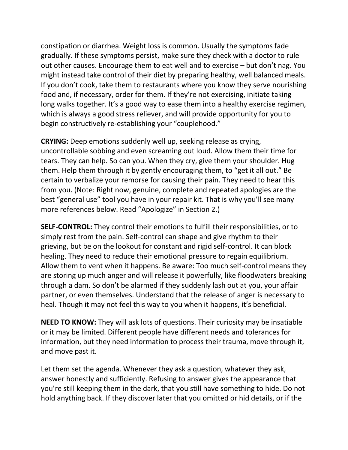constipation or diarrhea. Weight loss is common. Usually the symptoms fade gradually. If these symptoms persist, make sure they check with a doctor to rule out other causes. Encourage them to eat well and to exercise – but don't nag. You might instead take control of their diet by preparing healthy, well balanced meals. If you don't cook, take them to restaurants where you know they serve nourishing food and, if necessary, order for them. If they're not exercising, initiate taking long walks together. It's a good way to ease them into a healthy exercise regimen, which is always a good stress reliever, and will provide opportunity for you to begin constructively re-establishing your "couplehood."

**CRYING:** Deep emotions suddenly well up, seeking release as crying, uncontrollable sobbing and even screaming out loud. Allow them their time for tears. They can help. So can you. When they cry, give them your shoulder. Hug them. Help them through it by gently encouraging them, to "get it all out." Be certain to verbalize your remorse for causing their pain. They need to hear this from you. (Note: Right now, genuine, complete and repeated apologies are the best "general use" tool you have in your repair kit. That is why you'll see many more references below. Read "Apologize" in Section 2.)

**SELF-CONTROL:** They control their emotions to fulfill their responsibilities, or to simply rest from the pain. Self-control can shape and give rhythm to their grieving, but be on the lookout for constant and rigid self-control. It can block healing. They need to reduce their emotional pressure to regain equilibrium. Allow them to vent when it happens. Be aware: Too much self-control means they are storing up much anger and will release it powerfully, like floodwaters breaking through a dam. So don't be alarmed if they suddenly lash out at you, your affair partner, or even themselves. Understand that the release of anger is necessary to heal. Though it may not feel this way to you when it happens, it's beneficial.

**NEED TO KNOW:** They will ask lots of questions. Their curiosity may be insatiable or it may be limited. Different people have different needs and tolerances for information, but they need information to process their trauma, move through it, and move past it.

Let them set the agenda. Whenever they ask a question, whatever they ask, answer honestly and sufficiently. Refusing to answer gives the appearance that you're still keeping them in the dark, that you still have something to hide. Do not hold anything back. If they discover later that you omitted or hid details, or if the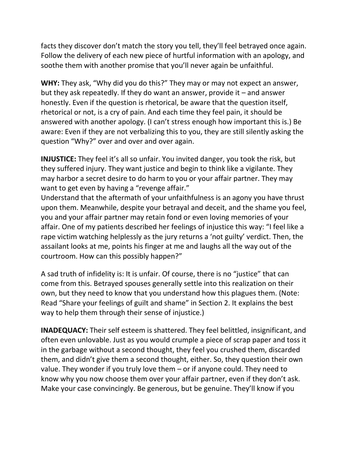facts they discover don't match the story you tell, they'll feel betrayed once again. Follow the delivery of each new piece of hurtful information with an apology, and soothe them with another promise that you'll never again be unfaithful.

**WHY:** They ask, "Why did you do this?" They may or may not expect an answer, but they ask repeatedly. If they do want an answer, provide it – and answer honestly. Even if the question is rhetorical, be aware that the question itself, rhetorical or not, is a cry of pain. And each time they feel pain, it should be answered with another apology. (I can't stress enough how important this is.) Be aware: Even if they are not verbalizing this to you, they are still silently asking the question "Why?" over and over and over again.

**INJUSTICE:** They feel it's all so unfair. You invited danger, you took the risk, but they suffered injury. They want justice and begin to think like a vigilante. They may harbor a secret desire to do harm to you or your affair partner. They may want to get even by having a "revenge affair."

Understand that the aftermath of your unfaithfulness is an agony you have thrust upon them. Meanwhile, despite your betrayal and deceit, and the shame you feel, you and your affair partner may retain fond or even loving memories of your affair. One of my patients described her feelings of injustice this way: "I feel like a rape victim watching helplessly as the jury returns a 'not guilty' verdict. Then, the assailant looks at me, points his finger at me and laughs all the way out of the courtroom. How can this possibly happen?"

A sad truth of infidelity is: It is unfair. Of course, there is no "justice" that can come from this. Betrayed spouses generally settle into this realization on their own, but they need to know that you understand how this plagues them. (Note: Read "Share your feelings of guilt and shame" in Section 2. It explains the best way to help them through their sense of injustice.)

**INADEQUACY:** Their self esteem is shattered. They feel belittled, insignificant, and often even unlovable. Just as you would crumple a piece of scrap paper and toss it in the garbage without a second thought, they feel you crushed them, discarded them, and didn't give them a second thought, either. So, they question their own value. They wonder if you truly love them – or if anyone could. They need to know why you now choose them over your affair partner, even if they don't ask. Make your case convincingly. Be generous, but be genuine. They'll know if you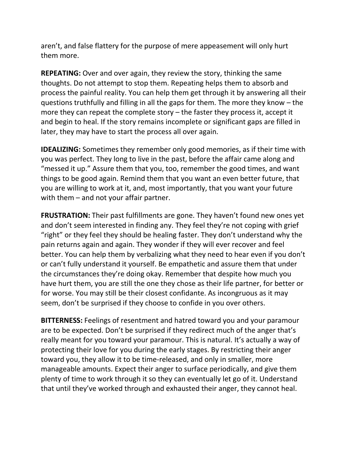aren't, and false flattery for the purpose of mere appeasement will only hurt them more.

**REPEATING:** Over and over again, they review the story, thinking the same thoughts. Do not attempt to stop them. Repeating helps them to absorb and process the painful reality. You can help them get through it by answering all their questions truthfully and filling in all the gaps for them. The more they know – the more they can repeat the complete story – the faster they process it, accept it and begin to heal. If the story remains incomplete or significant gaps are filled in later, they may have to start the process all over again.

**IDEALIZING:** Sometimes they remember only good memories, as if their time with you was perfect. They long to live in the past, before the affair came along and "messed it up." Assure them that you, too, remember the good times, and want things to be good again. Remind them that you want an even better future, that you are willing to work at it, and, most importantly, that you want your future with them – and not your affair partner.

**FRUSTRATION:** Their past fulfillments are gone. They haven't found new ones yet and don't seem interested in finding any. They feel they're not coping with grief "right" or they feel they should be healing faster. They don't understand why the pain returns again and again. They wonder if they will ever recover and feel better. You can help them by verbalizing what they need to hear even if you don't or can't fully understand it yourself. Be empathetic and assure them that under the circumstances they're doing okay. Remember that despite how much you have hurt them, you are still the one they chose as their life partner, for better or for worse. You may still be their closest confidante. As incongruous as it may seem, don't be surprised if they choose to confide in you over others.

**BITTERNESS:** Feelings of resentment and hatred toward you and your paramour are to be expected. Don't be surprised if they redirect much of the anger that's really meant for you toward your paramour. This is natural. It's actually a way of protecting their love for you during the early stages. By restricting their anger toward you, they allow it to be time-released, and only in smaller, more manageable amounts. Expect their anger to surface periodically, and give them plenty of time to work through it so they can eventually let go of it. Understand that until they've worked through and exhausted their anger, they cannot heal.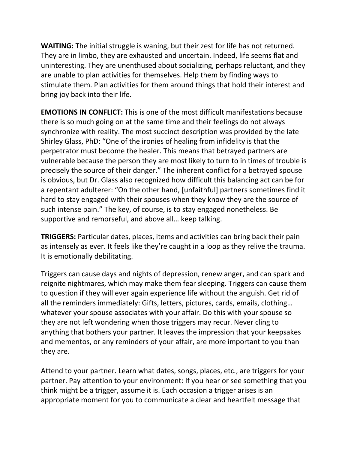**WAITING:** The initial struggle is waning, but their zest for life has not returned. They are in limbo, they are exhausted and uncertain. Indeed, life seems flat and uninteresting. They are unenthused about socializing, perhaps reluctant, and they are unable to plan activities for themselves. Help them by finding ways to stimulate them. Plan activities for them around things that hold their interest and bring joy back into their life.

**EMOTIONS IN CONFLICT:** This is one of the most difficult manifestations because there is so much going on at the same time and their feelings do not always synchronize with reality. The most succinct description was provided by the late Shirley Glass, PhD: "One of the ironies of healing from infidelity is that the perpetrator must become the healer. This means that betrayed partners are vulnerable because the person they are most likely to turn to in times of trouble is precisely the source of their danger." The inherent conflict for a betrayed spouse is obvious, but Dr. Glass also recognized how difficult this balancing act can be for a repentant adulterer: "On the other hand, [unfaithful] partners sometimes find it hard to stay engaged with their spouses when they know they are the source of such intense pain." The key, of course, is to stay engaged nonetheless. Be supportive and remorseful, and above all… keep talking.

**TRIGGERS:** Particular dates, places, items and activities can bring back their pain as intensely as ever. It feels like they're caught in a loop as they relive the trauma. It is emotionally debilitating.

Triggers can cause days and nights of depression, renew anger, and can spark and reignite nightmares, which may make them fear sleeping. Triggers can cause them to question if they will ever again experience life without the anguish. Get rid of all the reminders immediately: Gifts, letters, pictures, cards, emails, clothing… whatever your spouse associates with your affair. Do this with your spouse so they are not left wondering when those triggers may recur. Never cling to anything that bothers your partner. It leaves the impression that your keepsakes and mementos, or any reminders of your affair, are more important to you than they are.

Attend to your partner. Learn what dates, songs, places, etc., are triggers for your partner. Pay attention to your environment: If you hear or see something that you think might be a trigger, assume it is. Each occasion a trigger arises is an appropriate moment for you to communicate a clear and heartfelt message that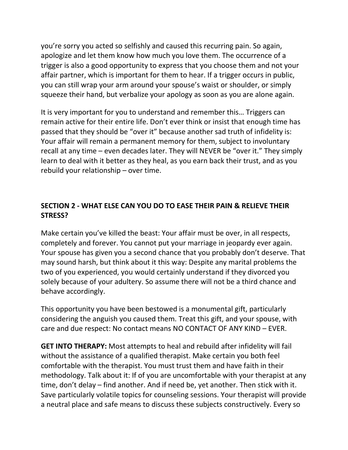you're sorry you acted so selfishly and caused this recurring pain. So again, apologize and let them know how much you love them. The occurrence of a trigger is also a good opportunity to express that you choose them and not your affair partner, which is important for them to hear. If a trigger occurs in public, you can still wrap your arm around your spouse's waist or shoulder, or simply squeeze their hand, but verbalize your apology as soon as you are alone again.

It is very important for you to understand and remember this… Triggers can remain active for their entire life. Don't ever think or insist that enough time has passed that they should be "over it" because another sad truth of infidelity is: Your affair will remain a permanent memory for them, subject to involuntary recall at any time – even decades later. They will NEVER be "over it." They simply learn to deal with it better as they heal, as you earn back their trust, and as you rebuild your relationship – over time.

## **SECTION 2 - WHAT ELSE CAN YOU DO TO EASE THEIR PAIN & RELIEVE THEIR STRESS?**

Make certain you've killed the beast: Your affair must be over, in all respects, completely and forever. You cannot put your marriage in jeopardy ever again. Your spouse has given you a second chance that you probably don't deserve. That may sound harsh, but think about it this way: Despite any marital problems the two of you experienced, you would certainly understand if they divorced you solely because of your adultery. So assume there will not be a third chance and behave accordingly.

This opportunity you have been bestowed is a monumental gift, particularly considering the anguish you caused them. Treat this gift, and your spouse, with care and due respect: No contact means NO CONTACT OF ANY KIND – EVER.

**GET INTO THERAPY:** Most attempts to heal and rebuild after infidelity will fail without the assistance of a qualified therapist. Make certain you both feel comfortable with the therapist. You must trust them and have faith in their methodology. Talk about it: If of you are uncomfortable with your therapist at any time, don't delay – find another. And if need be, yet another. Then stick with it. Save particularly volatile topics for counseling sessions. Your therapist will provide a neutral place and safe means to discuss these subjects constructively. Every so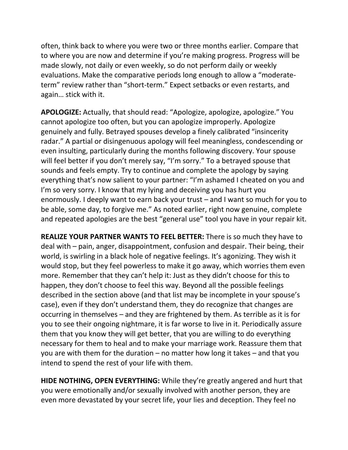often, think back to where you were two or three months earlier. Compare that to where you are now and determine if you're making progress. Progress will be made slowly, not daily or even weekly, so do not perform daily or weekly evaluations. Make the comparative periods long enough to allow a "moderateterm" review rather than "short-term." Expect setbacks or even restarts, and again… stick with it.

**APOLOGIZE:** Actually, that should read: "Apologize, apologize, apologize." You cannot apologize too often, but you can apologize improperly. Apologize genuinely and fully. Betrayed spouses develop a finely calibrated "insincerity radar." A partial or disingenuous apology will feel meaningless, condescending or even insulting, particularly during the months following discovery. Your spouse will feel better if you don't merely say, "I'm sorry." To a betrayed spouse that sounds and feels empty. Try to continue and complete the apology by saying everything that's now salient to your partner: "I'm ashamed I cheated on you and I'm so very sorry. I know that my lying and deceiving you has hurt you enormously. I deeply want to earn back your trust – and I want so much for you to be able, some day, to forgive me." As noted earlier, right now genuine, complete and repeated apologies are the best "general use" tool you have in your repair kit.

**REALIZE YOUR PARTNER WANTS TO FEEL BETTER:** There is so much they have to deal with – pain, anger, disappointment, confusion and despair. Their being, their world, is swirling in a black hole of negative feelings. It's agonizing. They wish it would stop, but they feel powerless to make it go away, which worries them even more. Remember that they can't help it: Just as they didn't choose for this to happen, they don't choose to feel this way. Beyond all the possible feelings described in the section above (and that list may be incomplete in your spouse's case), even if they don't understand them, they do recognize that changes are occurring in themselves – and they are frightened by them. As terrible as it is for you to see their ongoing nightmare, it is far worse to live in it. Periodically assure them that you know they will get better, that you are willing to do everything necessary for them to heal and to make your marriage work. Reassure them that you are with them for the duration – no matter how long it takes – and that you intend to spend the rest of your life with them.

**HIDE NOTHING, OPEN EVERYTHING:** While they're greatly angered and hurt that you were emotionally and/or sexually involved with another person, they are even more devastated by your secret life, your lies and deception. They feel no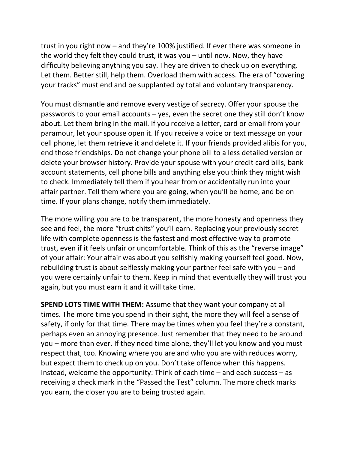trust in you right now – and they're 100% justified. If ever there was someone in the world they felt they could trust, it was you – until now. Now, they have difficulty believing anything you say. They are driven to check up on everything. Let them. Better still, help them. Overload them with access. The era of "covering your tracks" must end and be supplanted by total and voluntary transparency.

You must dismantle and remove every vestige of secrecy. Offer your spouse the passwords to your email accounts – yes, even the secret one they still don't know about. Let them bring in the mail. If you receive a letter, card or email from your paramour, let your spouse open it. If you receive a voice or text message on your cell phone, let them retrieve it and delete it. If your friends provided alibis for you, end those friendships. Do not change your phone bill to a less detailed version or delete your browser history. Provide your spouse with your credit card bills, bank account statements, cell phone bills and anything else you think they might wish to check. Immediately tell them if you hear from or accidentally run into your affair partner. Tell them where you are going, when you'll be home, and be on time. If your plans change, notify them immediately.

The more willing you are to be transparent, the more honesty and openness they see and feel, the more "trust chits" you'll earn. Replacing your previously secret life with complete openness is the fastest and most effective way to promote trust, even if it feels unfair or uncomfortable. Think of this as the "reverse image" of your affair: Your affair was about you selfishly making yourself feel good. Now, rebuilding trust is about selflessly making your partner feel safe with you – and you were certainly unfair to them. Keep in mind that eventually they will trust you again, but you must earn it and it will take time.

**SPEND LOTS TIME WITH THEM:** Assume that they want your company at all times. The more time you spend in their sight, the more they will feel a sense of safety, if only for that time. There may be times when you feel they're a constant, perhaps even an annoying presence. Just remember that they need to be around you – more than ever. If they need time alone, they'll let you know and you must respect that, too. Knowing where you are and who you are with reduces worry, but expect them to check up on you. Don't take offence when this happens. Instead, welcome the opportunity: Think of each time – and each success – as receiving a check mark in the "Passed the Test" column. The more check marks you earn, the closer you are to being trusted again.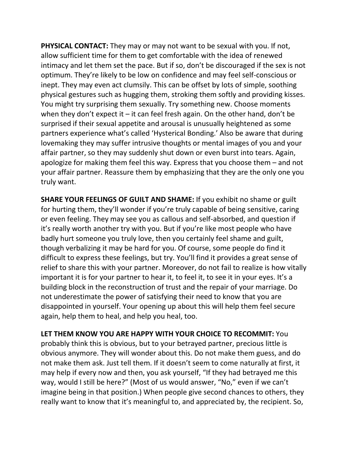**PHYSICAL CONTACT:** They may or may not want to be sexual with you. If not, allow sufficient time for them to get comfortable with the idea of renewed intimacy and let them set the pace. But if so, don't be discouraged if the sex is not optimum. They're likely to be low on confidence and may feel self-conscious or inept. They may even act clumsily. This can be offset by lots of simple, soothing physical gestures such as hugging them, stroking them softly and providing kisses. You might try surprising them sexually. Try something new. Choose moments when they don't expect it  $-$  it can feel fresh again. On the other hand, don't be surprised if their sexual appetite and arousal is unusually heightened as some partners experience what's called 'Hysterical Bonding.' Also be aware that during lovemaking they may suffer intrusive thoughts or mental images of you and your affair partner, so they may suddenly shut down or even burst into tears. Again, apologize for making them feel this way. Express that you choose them – and not your affair partner. Reassure them by emphasizing that they are the only one you truly want.

**SHARE YOUR FEELINGS OF GUILT AND SHAME:** If you exhibit no shame or guilt for hurting them, they'll wonder if you're truly capable of being sensitive, caring or even feeling. They may see you as callous and self-absorbed, and question if it's really worth another try with you. But if you're like most people who have badly hurt someone you truly love, then you certainly feel shame and guilt, though verbalizing it may be hard for you. Of course, some people do find it difficult to express these feelings, but try. You'll find it provides a great sense of relief to share this with your partner. Moreover, do not fail to realize is how vitally important it is for your partner to hear it, to feel it, to see it in your eyes. It's a building block in the reconstruction of trust and the repair of your marriage. Do not underestimate the power of satisfying their need to know that you are disappointed in yourself. Your opening up about this will help them feel secure again, help them to heal, and help you heal, too.

**LET THEM KNOW YOU ARE HAPPY WITH YOUR CHOICE TO RECOMMIT:** You probably think this is obvious, but to your betrayed partner, precious little is obvious anymore. They will wonder about this. Do not make them guess, and do not make them ask. Just tell them. If it doesn't seem to come naturally at first, it may help if every now and then, you ask yourself, "If they had betrayed me this way, would I still be here?" (Most of us would answer, "No," even if we can't imagine being in that position.) When people give second chances to others, they really want to know that it's meaningful to, and appreciated by, the recipient. So,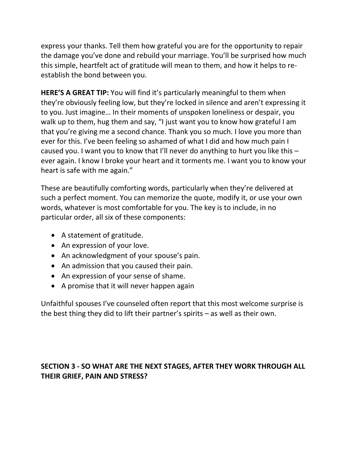express your thanks. Tell them how grateful you are for the opportunity to repair the damage you've done and rebuild your marriage. You'll be surprised how much this simple, heartfelt act of gratitude will mean to them, and how it helps to reestablish the bond between you.

**HERE'S A GREAT TIP:** You will find it's particularly meaningful to them when they're obviously feeling low, but they're locked in silence and aren't expressing it to you. Just imagine… In their moments of unspoken loneliness or despair, you walk up to them, hug them and say, "I just want you to know how grateful I am that you're giving me a second chance. Thank you so much. I love you more than ever for this. I've been feeling so ashamed of what I did and how much pain I caused you. I want you to know that I'll never do anything to hurt you like this – ever again. I know I broke your heart and it torments me. I want you to know your heart is safe with me again."

These are beautifully comforting words, particularly when they're delivered at such a perfect moment. You can memorize the quote, modify it, or use your own words, whatever is most comfortable for you. The key is to include, in no particular order, all six of these components:

- A statement of gratitude.
- An expression of your love.
- An acknowledgment of your spouse's pain.
- An admission that you caused their pain.
- An expression of your sense of shame.
- A promise that it will never happen again

Unfaithful spouses I've counseled often report that this most welcome surprise is the best thing they did to lift their partner's spirits – as well as their own.

## **SECTION 3 - SO WHAT ARE THE NEXT STAGES, AFTER THEY WORK THROUGH ALL THEIR GRIEF, PAIN AND STRESS?**